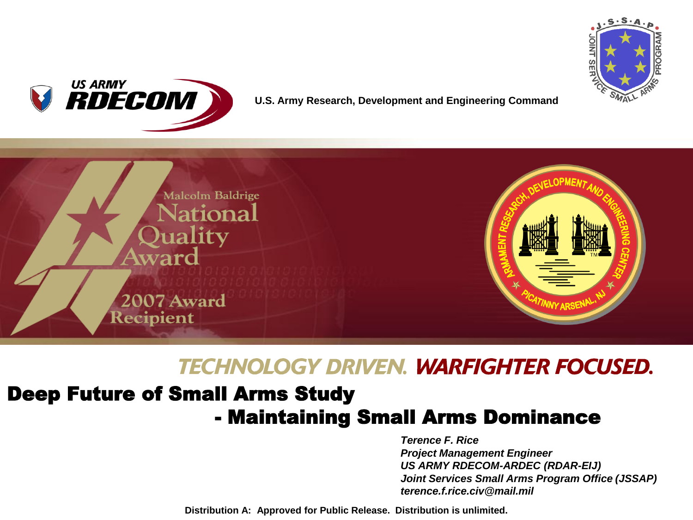



#### **U.S. Army Research, Development and Engineering Command**



### **TECHNOLOGY DRIVEN. WARFIGHTER FOCUSED.**

### Deep Future of Small Arms Study - Maintaining Small Arms Dominance

*Terence F. Rice Project Management Engineer US ARMY RDECOM-ARDEC (RDAR-EIJ) Joint Services Small Arms Program Office (JSSAP) terence.f.rice.civ@mail.mil*

**Distribution A: Approved for Public Release. Distribution is unlimited.**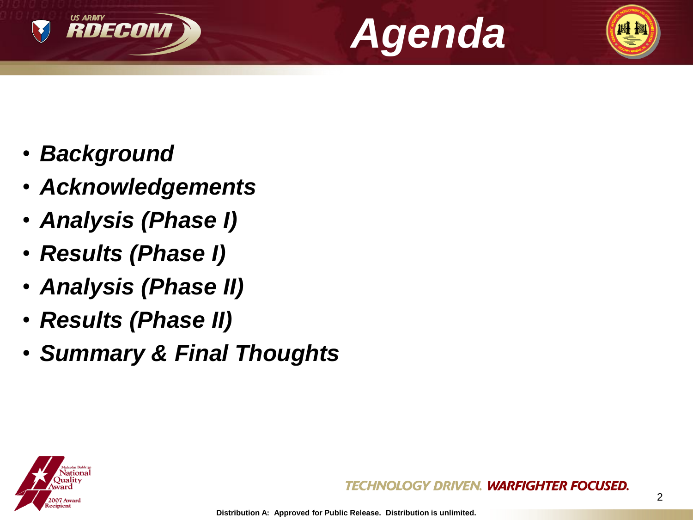





- *Acknowledgements*
- *Analysis (Phase I)*
- *Results (Phase I)*
- *Analysis (Phase II)*
- *Results (Phase II)*
- *Summary & Final Thoughts*

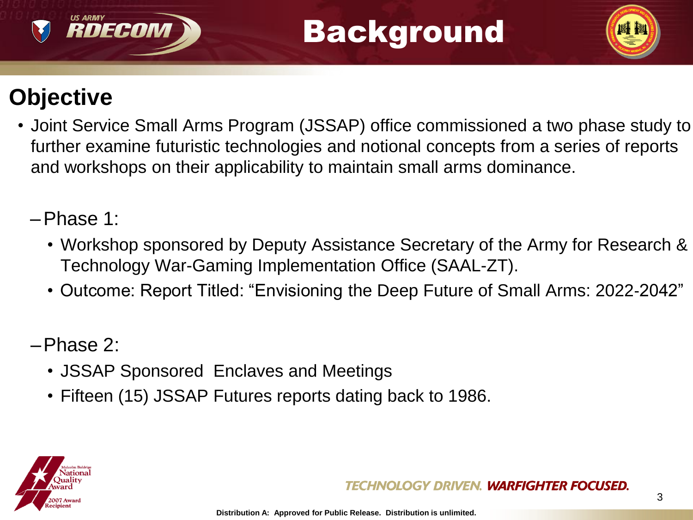# Background



## **Objective**

RDECON

• Joint Service Small Arms Program (JSSAP) office commissioned a two phase study to further examine futuristic technologies and notional concepts from a series of reports and workshops on their applicability to maintain small arms dominance.

### –Phase 1:

- Workshop sponsored by Deputy Assistance Secretary of the Army for Research & Technology War-Gaming Implementation Office (SAAL-ZT).
- Outcome: Report Titled: "Envisioning the Deep Future of Small Arms: 2022‐2042"

### –Phase 2:

- JSSAP Sponsored Enclaves and Meetings
- Fifteen (15) JSSAP Futures reports dating back to 1986.

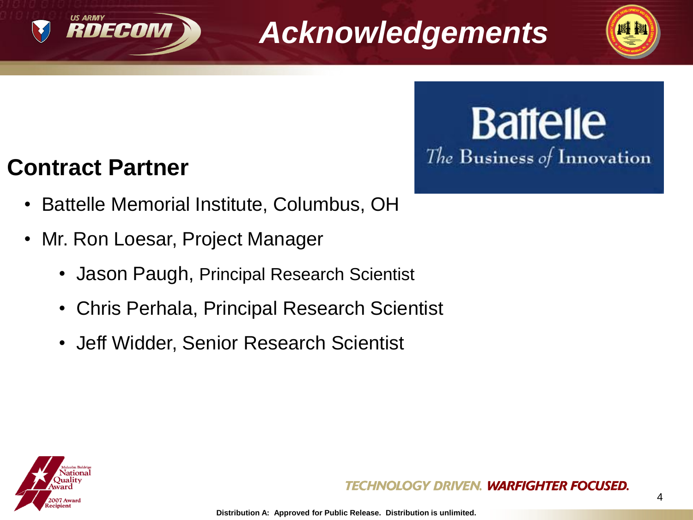

# *Acknowledgements*



# **Battelle** The Business of Innovation

### **Contract Partner**

- Battelle Memorial Institute, Columbus, OH
- Mr. Ron Loesar, Project Manager
	- Jason Paugh, Principal Research Scientist
	- Chris Perhala, Principal Research Scientist
	- Jeff Widder, Senior Research Scientist

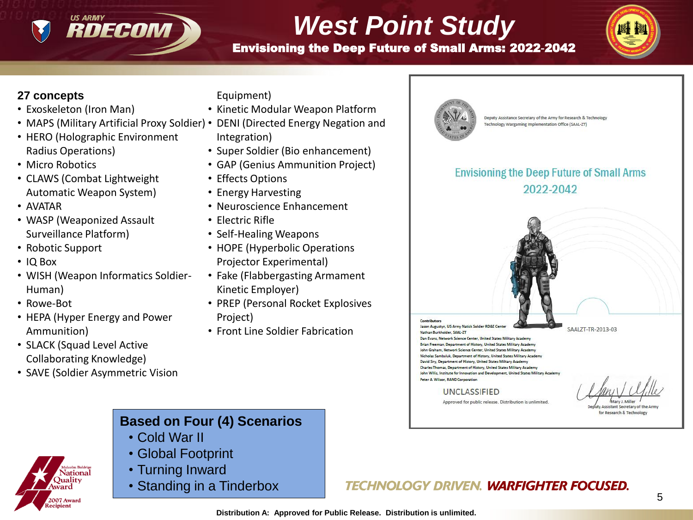

# *West Point Study*

Envisioning the Deep Future of Small Arms: 2022‐2042



#### **27 concepts**

- Exoskeleton (Iron Man)
- MAPS (Military Artificial Proxy Soldier) DENI (Directed Energy Negation and
- HERO (Holographic Environment Radius Operations)
- Micro Robotics
- CLAWS (Combat Lightweight Automatic Weapon System)
- AVATAR
- WASP (Weaponized Assault Surveillance Platform)
- Robotic Support
- IQ Box
- WISH (Weapon Informatics Soldier-Human)
- Rowe-Bot
- HEPA (Hyper Energy and Power Ammunition)
- SLACK (Squad Level Active Collaborating Knowledge)

**07 Award** pient

• SAVE (Soldier Asymmetric Vision

Equipment)

- Kinetic Modular Weapon Platform
- - Integration)
- Super Soldier (Bio enhancement)
- GAP (Genius Ammunition Project)
- Effects Options
- Energy Harvesting
- Neuroscience Enhancement
- Electric Rifle
- Self-Healing Weapons
- HOPE (Hyperbolic Operations Projector Experimental)
- Fake (Flabbergasting Armament Kinetic Employer)
- PREP (Personal Rocket Explosives Project)
- Front Line Soldier Fabrication



Deputy Assistance Secretary of the Army for Research & Technology Technology Wargaming Implementation Office (SAAL-ZT)

#### **Envisioning the Deep Future of Small Arms** 2022-2042



Assistant Secretary of the Arm for Research & Technology

#### **Based on Four (4) Scenarios**

- Cold War II
- Global Footprint
- Turning Inward
- Standing in a Tinderbox

#### **TECHNOLOGY DRIVEN. WARFIGHTER FOCUSED.**

**)**ualitv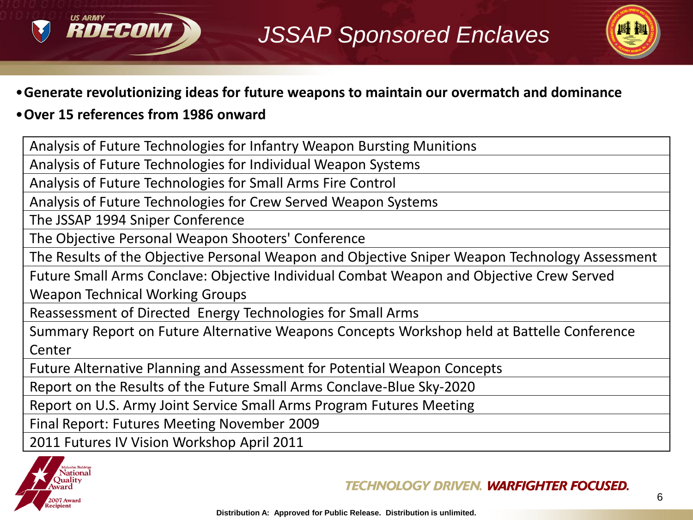



#### •**Generate revolutionizing ideas for future weapons to maintain our overmatch and dominance**

#### •**Over 15 references from 1986 onward**

Analysis of Future Technologies for Infantry Weapon Bursting Munitions

Analysis of Future Technologies for Individual Weapon Systems

Analysis of Future Technologies for Small Arms Fire Control

Analysis of Future Technologies for Crew Served Weapon Systems

The JSSAP 1994 Sniper Conference

The Objective Personal Weapon Shooters' Conference

The Results of the Objective Personal Weapon and Objective Sniper Weapon Technology Assessment

Future Small Arms Conclave: Objective Individual Combat Weapon and Objective Crew Served

Weapon Technical Working Groups

Reassessment of Directed Energy Technologies for Small Arms

Summary Report on Future Alternative Weapons Concepts Workshop held at Battelle Conference Center

Future Alternative Planning and Assessment for Potential Weapon Concepts

Report on the Results of the Future Small Arms Conclave-Blue Sky-2020

Report on U.S. Army Joint Service Small Arms Program Futures Meeting

Final Report: Futures Meeting November 2009

2011 Futures IV Vision Workshop April 2011

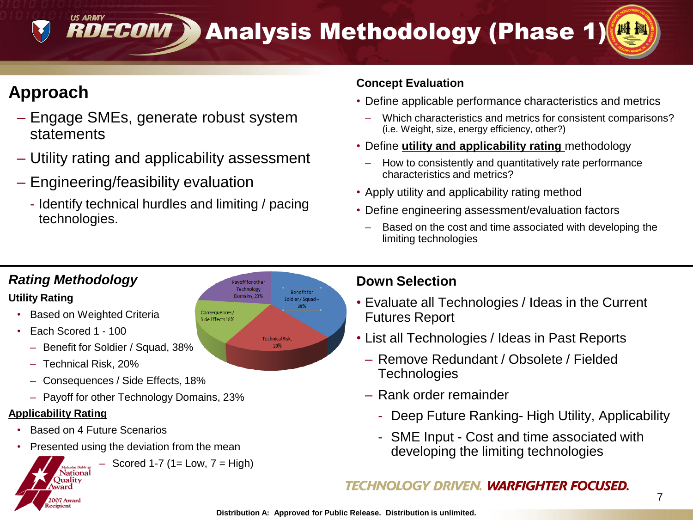**RDECOM > Analysis Methodology (Phase 1)** 

### **Approach**

**US ARMY** 

- Engage SMEs, generate robust system statements
- Utility rating and applicability assessment
- Engineering/feasibility evaluation
	- Identify technical hurdles and limiting / pacing technologies.

#### **Concept Evaluation**

- Define applicable performance characteristics and metrics
	- Which characteristics and metrics for consistent comparisons? (i.e. Weight, size, energy efficiency, other?)
- Define **utility and applicability rating** methodology
	- How to consistently and quantitatively rate performance characteristics and metrics?
- Apply utility and applicability rating method
- Define engineering assessment/evaluation factors
	- Based on the cost and time associated with developing the limiting technologies

#### *Rating Methodology*

#### **Utility Rating**

- **Based on Weighted Criteria**
- Each Scored 1 100
	- Benefit for Soldier / Squad, 38%
	- Technical Risk, 20%
	- Consequences / Side Effects, 18%
	- Payoff for other Technology Domains, 23%

#### **Applicability Rating**

- Based on 4 Future Scenarios
- Presented using the deviation from the mean

 $-$  Scored 1-7 (1= Low,  $7 = High$ )

```
ialcolm Baldrige
  National
Ouality
ward
007 Award
 pient
```
ayoff for othe Technology **Renefit for** Domains, 23% Soldier/Squad-Consequences/ Side Effects 18% Technical Risk.

#### **Down Selection**

- Evaluate all Technologies / Ideas in the Current Futures Report
- List all Technologies / Ideas in Past Reports
	- Remove Redundant / Obsolete / Fielded **Technologies**
- Rank order remainder
	- Deep Future Ranking- High Utility, Applicability
	- SME Input Cost and time associated with developing the limiting technologies

#### TECHNOLOGY DRIVEN. **WARFIGHTER FOCUSED.**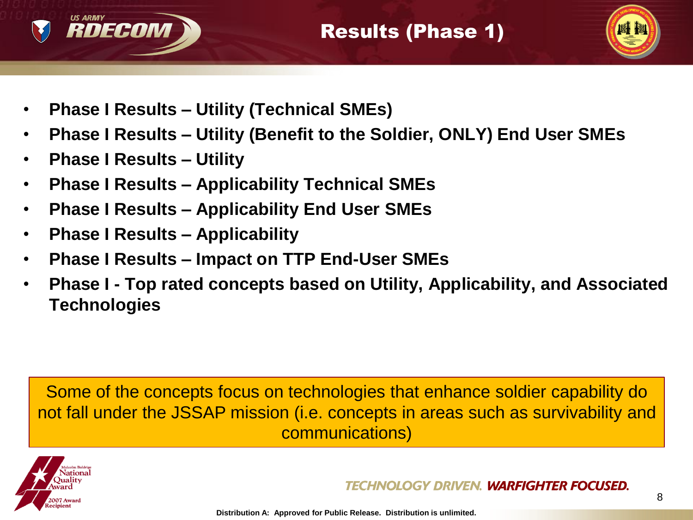



- **Phase I Results – Utility (Technical SMEs)**
- **Phase I Results – Utility (Benefit to the Soldier, ONLY) End User SMEs**
- **Phase I Results – Utility**
- **Phase I Results – Applicability Technical SMEs**
- **Phase I Results – Applicability End User SMEs**
- **Phase I Results – Applicability**
- **Phase I Results – Impact on TTP End-User SMEs**
- **Phase I - Top rated concepts based on Utility, Applicability, and Associated Technologies**

Some of the concepts focus on technologies that enhance soldier capability do not fall under the JSSAP mission (i.e. concepts in areas such as survivability and communications)

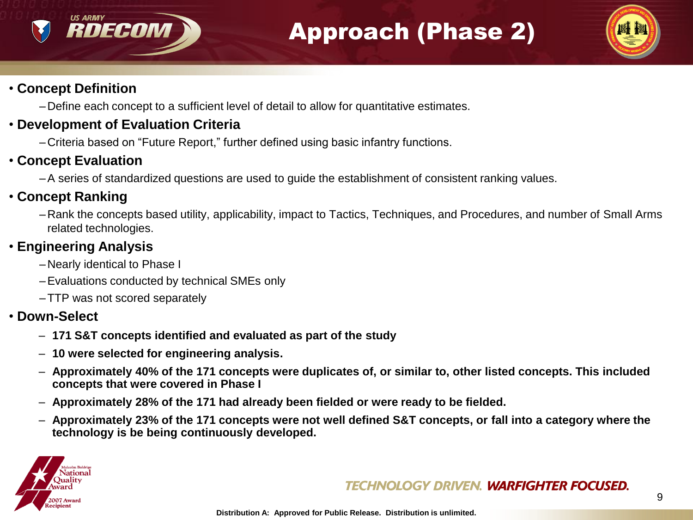### Approach (Phase 2)



### • **Concept Definition**

**US ARMY** 

RDECON

–Define each concept to a sufficient level of detail to allow for quantitative estimates.

#### • **Development of Evaluation Criteria**

–Criteria based on "Future Report," further defined using basic infantry functions.

#### • **Concept Evaluation**

–A series of standardized questions are used to guide the establishment of consistent ranking values.

#### • **Concept Ranking**

–Rank the concepts based utility, applicability, impact to Tactics, Techniques, and Procedures, and number of Small Arms related technologies.

#### • **Engineering Analysis**

- –Nearly identical to Phase I
- –Evaluations conducted by technical SMEs only
- –TTP was not scored separately

#### • **Down-Select**

- **171 S&T concepts identified and evaluated as part of the study**
- **10 were selected for engineering analysis.**
- **Approximately 40% of the 171 concepts were duplicates of, or similar to, other listed concepts. This included concepts that were covered in Phase I**
- **Approximately 28% of the 171 had already been fielded or were ready to be fielded.**
- **Approximately 23% of the 171 concepts were not well defined S&T concepts, or fall into a category where the technology is be being continuously developed.**



#### TECHNOLOGY DRIVEN. **WARFIGHTER FOCUSED.**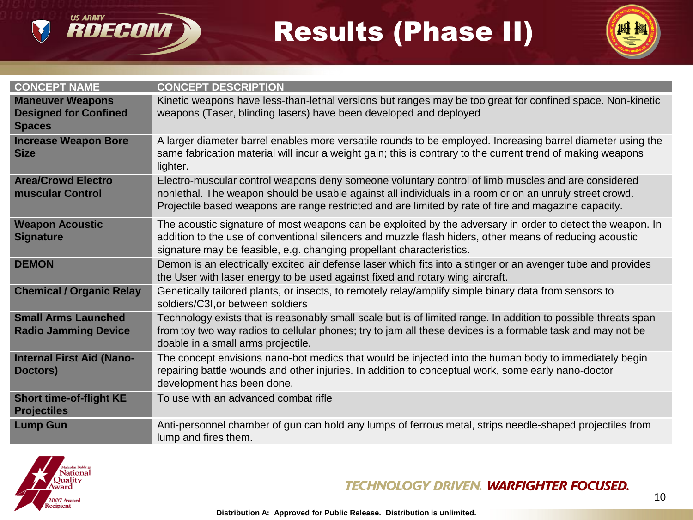# Results (Phase II)



| <b>CONCEPT NAME</b>                                                      | <b>CONCEPT DESCRIPTION</b>                                                                                                                                                                                                                                                                                           |
|--------------------------------------------------------------------------|----------------------------------------------------------------------------------------------------------------------------------------------------------------------------------------------------------------------------------------------------------------------------------------------------------------------|
| <b>Maneuver Weapons</b><br><b>Designed for Confined</b><br><b>Spaces</b> | Kinetic weapons have less-than-lethal versions but ranges may be too great for confined space. Non-kinetic<br>weapons (Taser, blinding lasers) have been developed and deployed                                                                                                                                      |
| <b>Increase Weapon Bore</b><br><b>Size</b>                               | A larger diameter barrel enables more versatile rounds to be employed. Increasing barrel diameter using the<br>same fabrication material will incur a weight gain; this is contrary to the current trend of making weapons<br>lighter.                                                                               |
| <b>Area/Crowd Electro</b><br>muscular Control                            | Electro-muscular control weapons deny someone voluntary control of limb muscles and are considered<br>nonlethal. The weapon should be usable against all individuals in a room or on an unruly street crowd.<br>Projectile based weapons are range restricted and are limited by rate of fire and magazine capacity. |
| <b>Weapon Acoustic</b><br><b>Signature</b>                               | The acoustic signature of most weapons can be exploited by the adversary in order to detect the weapon. In<br>addition to the use of conventional silencers and muzzle flash hiders, other means of reducing acoustic<br>signature may be feasible, e.g. changing propellant characteristics.                        |
| <b>DEMON</b>                                                             | Demon is an electrically excited air defense laser which fits into a stinger or an avenger tube and provides<br>the User with laser energy to be used against fixed and rotary wing aircraft.                                                                                                                        |
| <b>Chemical / Organic Relay</b>                                          | Genetically tailored plants, or insects, to remotely relay/amplify simple binary data from sensors to<br>soldiers/C3I, or between soldiers                                                                                                                                                                           |
| <b>Small Arms Launched</b><br><b>Radio Jamming Device</b>                | Technology exists that is reasonably small scale but is of limited range. In addition to possible threats span<br>from toy two way radios to cellular phones; try to jam all these devices is a formable task and may not be<br>doable in a small arms projectile.                                                   |
| <b>Internal First Aid (Nano-</b><br>Doctors)                             | The concept envisions nano-bot medics that would be injected into the human body to immediately begin<br>repairing battle wounds and other injuries. In addition to conceptual work, some early nano-doctor<br>development has been done.                                                                            |
| <b>Short time-of-flight KE</b><br><b>Projectiles</b>                     | To use with an advanced combat rifle                                                                                                                                                                                                                                                                                 |
| <b>Lump Gun</b>                                                          | Anti-personnel chamber of gun can hold any lumps of ferrous metal, strips needle-shaped projectiles from<br>lump and fires them.                                                                                                                                                                                     |



US ARMY<br>**RDECOM** 

#### **TECHNOLOGY DRIVEN. WARFIGHTER FOCUSED.**